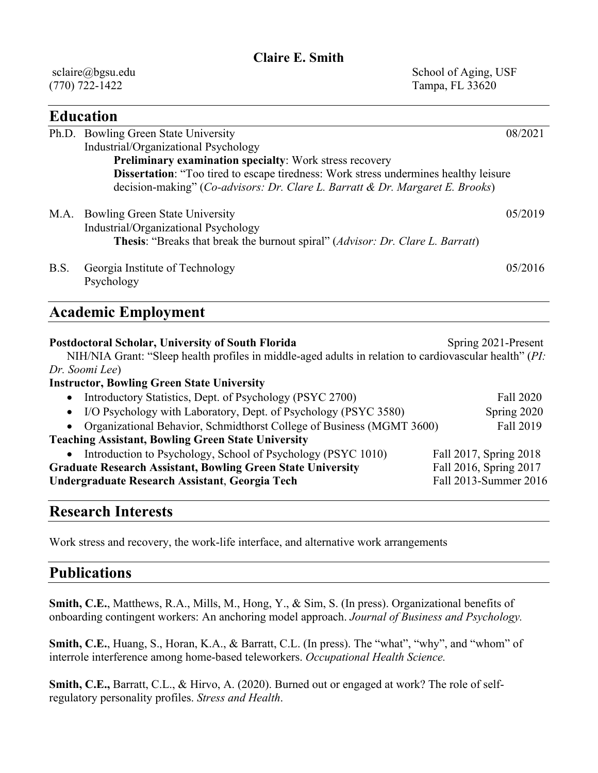#### **Claire E. Smith**

 sclaire@bgsu.edu (770) 722-1422

 School of Aging, USF Tampa, FL 33620

|      | <b>Education</b>                                                                                                                                                                   |         |
|------|------------------------------------------------------------------------------------------------------------------------------------------------------------------------------------|---------|
|      | Ph.D. Bowling Green State University                                                                                                                                               | 08/2021 |
|      | Industrial/Organizational Psychology                                                                                                                                               |         |
|      | Preliminary examination specialty: Work stress recovery                                                                                                                            |         |
|      | Dissertation: "Too tired to escape tiredness: Work stress undermines healthy leisure                                                                                               |         |
|      | decision-making" (Co-advisors: Dr. Clare L. Barratt & Dr. Margaret E. Brooks)                                                                                                      |         |
| M.A. | <b>Bowling Green State University</b>                                                                                                                                              | 05/2019 |
|      | Industrial/Organizational Psychology                                                                                                                                               |         |
|      | <b>Thesis:</b> "Breaks that break the burnout spiral" ( <i>Advisor: Dr. Clare L. Barratt</i> )                                                                                     |         |
| B.S. | Georgia Institute of Technology                                                                                                                                                    | 05/2016 |
|      | Psychology                                                                                                                                                                         |         |
|      | <b>Academic Employment</b>                                                                                                                                                         |         |
|      |                                                                                                                                                                                    |         |
|      | Spring 2021-Present<br>Postdoctoral Scholar, University of South Florida<br>NIH/NIA Grant: "Sleep health profiles in middle-aged adults in relation to cardiovascular health" (PI: |         |
|      | Dr. Soomi Lee)                                                                                                                                                                     |         |

#### **Instructor, Bowling Green State University**  • Introductory Statistics, Dept. of Psychology (PSYC 2700) Fall 2020 • I/O Psychology with Laboratory, Dept. of Psychology (PSYC 3580) Spring 2020 • Organizational Behavior, Schmidthorst College of Business (MGMT 3600) Fall 2019 **Teaching Assistant, Bowling Green State University**  • Introduction to Psychology, School of Psychology (PSYC 1010) Fall 2017, Spring 2018 **Graduate Research Assistant, Bowling Green State University** Fall 2016, Spring 2017 **Undergraduate Research Assistant**, **Georgia Tech** Fall 2013-Summer 2016

#### **Research Interests**

Work stress and recovery, the work-life interface, and alternative work arrangements

### **Publications**

**Smith, C.E.**, Matthews, R.A., Mills, M., Hong, Y., & Sim, S. (In press). Organizational benefits of onboarding contingent workers: An anchoring model approach. *Journal of Business and Psychology.* 

**Smith, C.E.**, Huang, S., Horan, K.A., & Barratt, C.L. (In press). The "what", "why", and "whom" of interrole interference among home-based teleworkers. *Occupational Health Science.* 

**Smith, C.E.,** Barratt, C.L., & Hirvo, A. (2020). Burned out or engaged at work? The role of selfregulatory personality profiles. *Stress and Health*.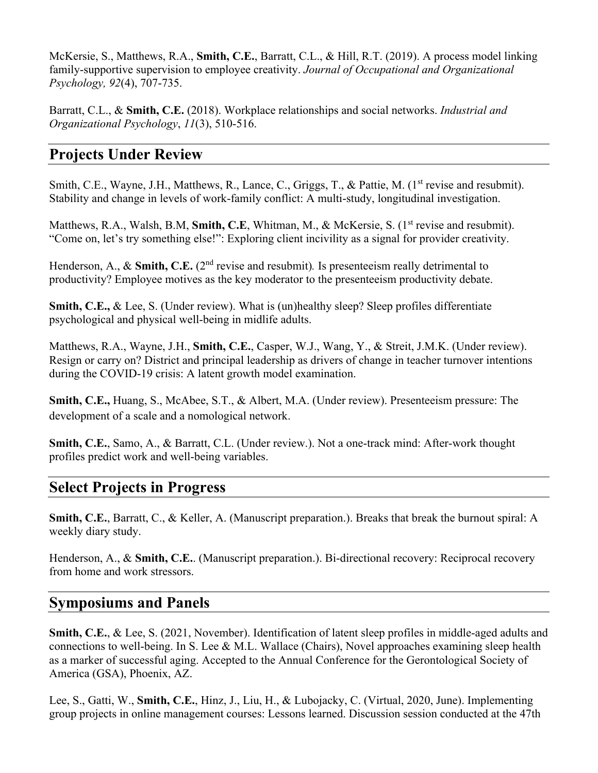McKersie, S., Matthews, R.A., **Smith, C.E.**, Barratt, C.L., & Hill, R.T. (2019). A process model linking family-supportive supervision to employee creativity. *Journal of Occupational and Organizational Psychology, 92*(4), 707-735.

Barratt, C.L., & **Smith, C.E.** (2018). Workplace relationships and social networks. *Industrial and Organizational Psychology*, *11*(3), 510-516.

# **Projects Under Review**

Smith, C.E., Wayne, J.H., Matthews, R., Lance, C., Griggs, T., & Pattie, M. (1<sup>st</sup> revise and resubmit). Stability and change in levels of work-family conflict: A multi-study, longitudinal investigation.

Matthews, R.A., Walsh, B.M, **Smith, C.E**, Whitman, M., & McKersie, S. (1<sup>st</sup> revise and resubmit). "Come on, let's try something else!": Exploring client incivility as a signal for provider creativity.

Henderson, A., & **Smith, C.E.** (2<sup>nd</sup> revise and resubmit). Is presenteeism really detrimental to productivity? Employee motives as the key moderator to the presenteeism productivity debate.

**Smith, C.E., & Lee, S. (Under review). What is (un)healthy sleep? Sleep profiles differentiate** psychological and physical well-being in midlife adults.

Matthews, R.A., Wayne, J.H., **Smith, C.E.**, Casper, W.J., Wang, Y., & Streit, J.M.K. (Under review). Resign or carry on? District and principal leadership as drivers of change in teacher turnover intentions during the COVID-19 crisis: A latent growth model examination.

**Smith, C.E.,** Huang, S., McAbee, S.T., & Albert, M.A. (Under review). Presenteeism pressure: The development of a scale and a nomological network.

**Smith, C.E.**, Samo, A., & Barratt, C.L. (Under review.). Not a one-track mind: After-work thought profiles predict work and well-being variables.

### **Select Projects in Progress**

**Smith, C.E.**, Barratt, C., & Keller, A. (Manuscript preparation.). Breaks that break the burnout spiral: A weekly diary study.

Henderson, A., & **Smith, C.E.**. (Manuscript preparation.). Bi-directional recovery: Reciprocal recovery from home and work stressors.

# **Symposiums and Panels**

**Smith, C.E.**, & Lee, S. (2021, November). Identification of latent sleep profiles in middle-aged adults and connections to well-being. In S. Lee & M.L. Wallace (Chairs), Novel approaches examining sleep health as a marker of successful aging. Accepted to the Annual Conference for the Gerontological Society of America (GSA), Phoenix, AZ.

Lee, S., Gatti, W., **Smith, C.E.**, Hinz, J., Liu, H., & Lubojacky, C. (Virtual, 2020, June). Implementing group projects in online management courses: Lessons learned. Discussion session conducted at the 47th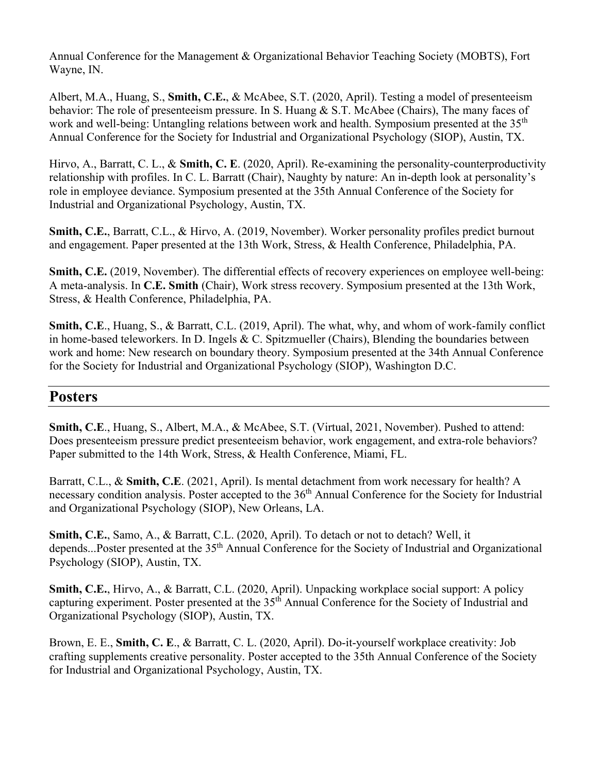Annual Conference for the Management & Organizational Behavior Teaching Society (MOBTS), Fort Wayne, IN.

Albert, M.A., Huang, S., **Smith, C.E.**, & McAbee, S.T. (2020, April). Testing a model of presenteeism behavior: The role of presenteeism pressure. In S. Huang & S.T. McAbee (Chairs), The many faces of work and well-being: Untangling relations between work and health. Symposium presented at the 35<sup>th</sup> Annual Conference for the Society for Industrial and Organizational Psychology (SIOP), Austin, TX.

Hirvo, A., Barratt, C. L., & **Smith, C. E**. (2020, April). Re-examining the personality-counterproductivity relationship with profiles. In C. L. Barratt (Chair), Naughty by nature: An in-depth look at personality's role in employee deviance. Symposium presented at the 35th Annual Conference of the Society for Industrial and Organizational Psychology, Austin, TX.

**Smith, C.E.**, Barratt, C.L., & Hirvo, A. (2019, November). Worker personality profiles predict burnout and engagement. Paper presented at the 13th Work, Stress, & Health Conference, Philadelphia, PA.

**Smith, C.E.** (2019, November). The differential effects of recovery experiences on employee well-being: A meta-analysis. In **C.E. Smith** (Chair), Work stress recovery. Symposium presented at the 13th Work, Stress, & Health Conference, Philadelphia, PA.

**Smith, C.E**., Huang, S., & Barratt, C.L. (2019, April). The what, why, and whom of work-family conflict in home-based teleworkers. In D. Ingels & C. Spitzmueller (Chairs), Blending the boundaries between work and home: New research on boundary theory. Symposium presented at the 34th Annual Conference for the Society for Industrial and Organizational Psychology (SIOP), Washington D.C.

### **Posters**

**Smith, C.E**., Huang, S., Albert, M.A., & McAbee, S.T. (Virtual, 2021, November). Pushed to attend: Does presenteeism pressure predict presenteeism behavior, work engagement, and extra-role behaviors? Paper submitted to the 14th Work, Stress, & Health Conference, Miami, FL.

Barratt, C.L., & **Smith, C.E**. (2021, April). Is mental detachment from work necessary for health? A necessary condition analysis. Poster accepted to the 36<sup>th</sup> Annual Conference for the Society for Industrial and Organizational Psychology (SIOP), New Orleans, LA.

**Smith, C.E.**, Samo, A., & Barratt, C.L. (2020, April). To detach or not to detach? Well, it depends...Poster presented at the 35<sup>th</sup> Annual Conference for the Society of Industrial and Organizational Psychology (SIOP), Austin, TX.

**Smith, C.E.**, Hirvo, A., & Barratt, C.L. (2020, April). Unpacking workplace social support: A policy capturing experiment. Poster presented at the 35<sup>th</sup> Annual Conference for the Society of Industrial and Organizational Psychology (SIOP), Austin, TX.

Brown, E. E., **Smith, C. E**., & Barratt, C. L. (2020, April). Do-it-yourself workplace creativity: Job crafting supplements creative personality. Poster accepted to the 35th Annual Conference of the Society for Industrial and Organizational Psychology, Austin, TX.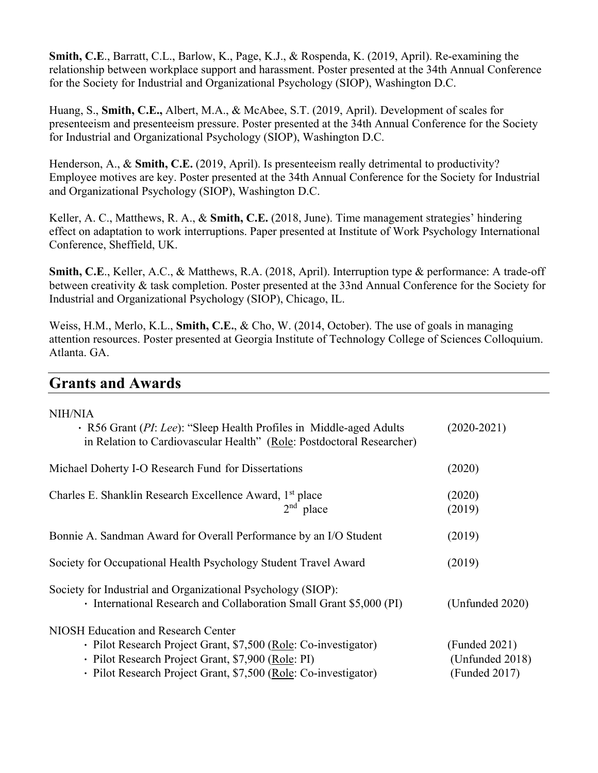**Smith, C.E**., Barratt, C.L., Barlow, K., Page, K.J., & Rospenda, K. (2019, April). Re-examining the relationship between workplace support and harassment. Poster presented at the 34th Annual Conference for the Society for Industrial and Organizational Psychology (SIOP), Washington D.C.

Huang, S., **Smith, C.E.,** Albert, M.A., & McAbee, S.T. (2019, April). Development of scales for presenteeism and presenteeism pressure. Poster presented at the 34th Annual Conference for the Society for Industrial and Organizational Psychology (SIOP), Washington D.C.

Henderson, A., & **Smith, C.E.** (2019, April). Is presenteeism really detrimental to productivity? Employee motives are key. Poster presented at the 34th Annual Conference for the Society for Industrial and Organizational Psychology (SIOP), Washington D.C.

Keller, A. C., Matthews, R. A., & **Smith, C.E.** (2018, June). Time management strategies' hindering effect on adaptation to work interruptions. Paper presented at Institute of Work Psychology International Conference, Sheffield, UK.

**Smith, C.E**., Keller, A.C., & Matthews, R.A. (2018, April). Interruption type & performance: A trade-off between creativity & task completion. Poster presented at the 33nd Annual Conference for the Society for Industrial and Organizational Psychology (SIOP), Chicago, IL.

Weiss, H.M., Merlo, K.L., **Smith, C.E.**, & Cho, W. (2014, October). The use of goals in managing attention resources. Poster presented at Georgia Institute of Technology College of Sciences Colloquium. Atlanta. GA.

#### **Grants and Awards**

| <b>NIH/NIA</b>                                                        |                 |
|-----------------------------------------------------------------------|-----------------|
| · R56 Grant (PI: Lee): "Sleep Health Profiles in Middle-aged Adults   | $(2020-2021)$   |
| in Relation to Cardiovascular Health" (Role: Postdoctoral Researcher) |                 |
| Michael Doherty I-O Research Fund for Dissertations                   | (2020)          |
| Charles E. Shanklin Research Excellence Award, 1 <sup>st</sup> place  | (2020)          |
| $2nd$ place                                                           | (2019)          |
| Bonnie A. Sandman Award for Overall Performance by an I/O Student     | (2019)          |
| Society for Occupational Health Psychology Student Travel Award       | (2019)          |
| Society for Industrial and Organizational Psychology (SIOP):          |                 |
| • International Research and Collaboration Small Grant \$5,000 (PI)   | (Unfunded 2020) |
| NIOSH Education and Research Center                                   |                 |
| · Pilot Research Project Grant, \$7,500 (Role: Co-investigator)       | (Funded 2021)   |
| · Pilot Research Project Grant, \$7,900 (Role: PI)                    | (Unfunded 2018) |
| · Pilot Research Project Grant, \$7,500 (Role: Co-investigator)       | (Funded 2017)   |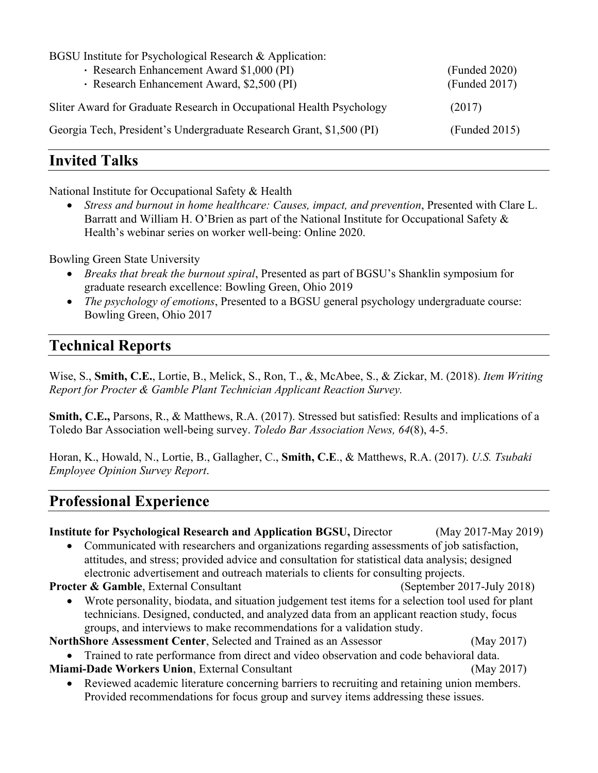| BGSU Institute for Psychological Research & Application:             |               |
|----------------------------------------------------------------------|---------------|
| · Research Enhancement Award \$1,000 (PI)                            | (Funded 2020) |
| · Research Enhancement Award, \$2,500 (PI)                           | (Funded 2017) |
| Sliter Award for Graduate Research in Occupational Health Psychology | (2017)        |
| Georgia Tech, President's Undergraduate Research Grant, \$1,500 (PI) | (Funded 2015) |

### **Invited Talks**

National Institute for Occupational Safety & Health

 *Stress and burnout in home healthcare: Causes, impact, and prevention*, Presented with Clare L. Barratt and William H. O'Brien as part of the National Institute for Occupational Safety & Health's webinar series on worker well-being: Online 2020.

Bowling Green State University

- *Breaks that break the burnout spiral*, Presented as part of BGSU's Shanklin symposium for graduate research excellence: Bowling Green, Ohio 2019
- *The psychology of emotions*, Presented to a BGSU general psychology undergraduate course: Bowling Green, Ohio 2017

### **Technical Reports**

Wise, S., **Smith, C.E.**, Lortie, B., Melick, S., Ron, T., &, McAbee, S., & Zickar, M. (2018). *Item Writing Report for Procter & Gamble Plant Technician Applicant Reaction Survey.* 

**Smith, C.E.,** Parsons, R., & Matthews, R.A. (2017). Stressed but satisfied: Results and implications of a Toledo Bar Association well-being survey. *Toledo Bar Association News, 64*(8), 4-5.

Horan, K., Howald, N., Lortie, B., Gallagher, C., **Smith, C.E**., & Matthews, R.A. (2017). *U.S. Tsubaki Employee Opinion Survey Report*.

### **Professional Experience**

| <b>Institute for Psychological Research and Application BGSU, Director</b>                         | $(May 2017-May 2019)$      |
|----------------------------------------------------------------------------------------------------|----------------------------|
| Communicated with researchers and organizations regarding assessments of job satisfaction,         |                            |
| attitudes, and stress; provided advice and consultation for statistical data analysis; designed    |                            |
| electronic advertisement and outreach materials to clients for consulting projects.                |                            |
| <b>Procter &amp; Gamble, External Consultant</b>                                                   | (September 2017-July 2018) |
| Wrote personality, biodata, and situation judgement test items for a selection tool used for plant |                            |
| technicians. Designed, conducted, and analyzed data from an applicant reaction study, focus        |                            |
| groups, and interviews to make recommendations for a validation study.                             |                            |
| NorthShore Assessment Center, Selected and Trained as an Assessor                                  | (May 2017)                 |
| • Trained to rate performance from direct and video observation and code behavioral data.          |                            |
| Miami-Dade Workers Union, External Consultant                                                      | (May 2017)                 |
| • Reviewed academic literature concerning barriers to recruiting and retaining union members.      |                            |
| Provided recommendations for focus group and survey items addressing these issues.                 |                            |
|                                                                                                    |                            |